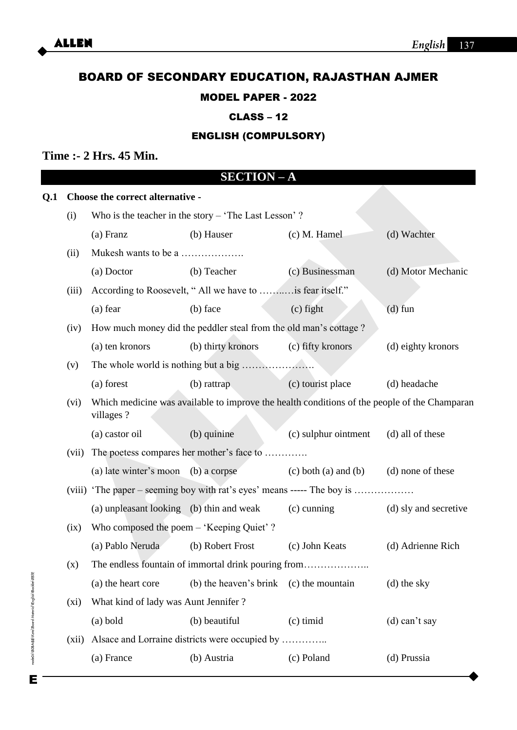# BOARD OF SECONDARY EDUCATION, RAJASTHAN AJMER

## MODEL PAPER - 2022

## CLASS – 12

## ENGLISH (COMPULSORY)

## **Time :- 2 Hrs. 45 Min.**

|     |                                  |                                                                                                           | <b>SECTION-A</b>                          |                            |                       |
|-----|----------------------------------|-----------------------------------------------------------------------------------------------------------|-------------------------------------------|----------------------------|-----------------------|
| Q.1 | Choose the correct alternative - |                                                                                                           |                                           |                            |                       |
|     | (i)                              | Who is the teacher in the story $-$ 'The Last Lesson'?                                                    |                                           |                            |                       |
|     |                                  | (a) Franz                                                                                                 | (b) Hauser                                | $(c)$ M. Hamel             | (d) Wachter           |
|     | (ii)                             |                                                                                                           |                                           |                            |                       |
|     |                                  | (a) Doctor                                                                                                | (b) Teacher                               | (c) Businessman            | (d) Motor Mechanic    |
|     | (iii)                            | According to Roosevelt, "All we have to  is fear itself."                                                 |                                           |                            |                       |
|     |                                  | $(a)$ fear                                                                                                | (b) face                                  | $(c)$ fight                | $(d)$ fun             |
|     | (iv)                             | How much money did the peddler steal from the old man's cottage?                                          |                                           |                            |                       |
|     |                                  | (a) ten kronors                                                                                           | (b) thirty kronors                        | (c) fifty kronors          | (d) eighty kronors    |
|     | (v)                              |                                                                                                           |                                           |                            |                       |
|     |                                  | (a) forest                                                                                                | (b) rattrap                               | (c) tourist place          | (d) headache          |
|     | (vi)                             | Which medicine was available to improve the health conditions of the people of the Champaran<br>villages? |                                           |                            |                       |
|     |                                  | (a) castor oil                                                                                            | (b) quinine                               | (c) sulphur ointment       | (d) all of these      |
|     | (vii)                            |                                                                                                           | The poetess compares her mother's face to |                            |                       |
|     |                                  | (a) late winter's moon (b) a corpse                                                                       |                                           | $(c)$ both $(a)$ and $(b)$ | (d) none of these     |
|     |                                  | (viii) 'The paper – seeming boy with rat's eyes' means ----- The boy is                                   |                                           |                            |                       |
|     |                                  | (a) unpleasant looking (b) thin and weak                                                                  |                                           | $(c)$ cunning              | (d) sly and secretive |
|     | (ix)                             | Who composed the poem - 'Keeping Quiet' ?                                                                 |                                           |                            |                       |
|     |                                  | (a) Pablo Neruda                                                                                          | (b) Robert Frost                          | (c) John Keats             | (d) Adrienne Rich     |
|     | (x)                              |                                                                                                           |                                           |                            |                       |
|     |                                  | (a) the heart core                                                                                        | (b) the heaven's brink (c) the mountain   |                            | (d) the sky           |
|     | $(x_i)$                          | What kind of lady was Aunt Jennifer?                                                                      |                                           |                            |                       |
|     |                                  | $(a)$ bold                                                                                                | (b) beautiful                             | $(c)$ timid                | $(d)$ can't say       |
|     | (xii)                            |                                                                                                           |                                           |                            |                       |
|     |                                  | (a) France                                                                                                | (b) Austria                               | (c) Poland                 | (d) Prussia           |
|     |                                  |                                                                                                           |                                           |                            |                       |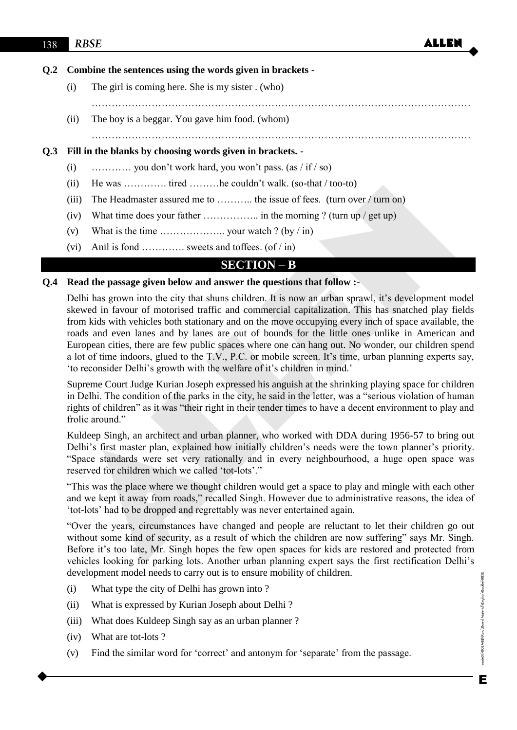## **Q.2 Combine the sentences using the words given in brackets -**

- (i) The girl is coming here. She is my sister . (who)
- (ii) The boy is a beggar. You gave him food. (whom)

……………………………………………………………………………………………………

……………………………………………………………………………………………………

## **Q.3 Fill in the blanks by choosing words given in brackets. -**

- (i)  $\ldots$   $\ldots$  you don't work hard, you won't pass. (as / if / so)
- (ii) He was …………. tired ………he couldn't walk. (so-that / too-to)
- (iii) The Headmaster assured me to ……….. the issue of fees. (turn over / turn on)
- (iv) What time does your father …………….. in the morning ? (turn up / get up)
- (v) What is the time  $\ldots$   $\ldots$  your watch ? (by / in)
- (vi) Anil is fond ............. sweets and toffees.  $(of / in)$

## **SECTION – B**

#### **Q.4 Read the passage given below and answer the questions that follow :-**

ALLEN Delhi has grown into the city that shuns children. It is now an urban sprawl, it's development model skewed in favour of motorised traffic and commercial capitalization. This has snatched play fields from kids with vehicles both stationary and on the move occupying every inch of space available, the roads and even lanes and by lanes are out of bounds for the little ones unlike in American and European cities, there are few public spaces where one can hang out. No wonder, our children spend a lot of time indoors, glued to the T.V., P.C. or mobile screen. It's time, urban planning experts say, 'to reconsider Delhi's growth with the welfare of it's children in mind.'

 Supreme Court Judge Kurian Joseph expressed his anguish at the shrinking playing space for children in Delhi. The condition of the parks in the city, he said in the letter, was a "serious violation of human rights of children" as it was "their right in their tender times to have a decent environment to play and frolic around."

 Kuldeep Singh, an architect and urban planner, who worked with DDA during 1956-57 to bring out Delhi's first master plan, explained how initially children's needs were the town planner's priority. "Space standards were set very rationally and in every neighbourhood, a huge open space was reserved for children which we called 'tot-lots'."

"This was the place where we thought children would get a space to play and mingle with each other and we kept it away from roads," recalled Singh. However due to administrative reasons, the idea of 'tot-lots' had to be dropped and regrettably was never entertained again.

"Over the years, circumstances have changed and people are reluctant to let their children go out without some kind of security, as a result of which the children are now suffering" says Mr. Singh. Before it's too late, Mr. Singh hopes the few open spaces for kids are restored and protected from vehicles looking for parking lots. Another urban planning expert says the first rectification Delhi's development model needs to carry out is to ensure mobility of children.

- (i) What type the city of Delhi has grown into ?
- (ii) What is expressed by Kurian Joseph about Delhi ?
- (iii) What does Kuldeep Singh say as an urban planner ?
- (iv) What are tot-lots ?
- (v) Find the similar word for 'correct' and antonym for 'separate' from the passage.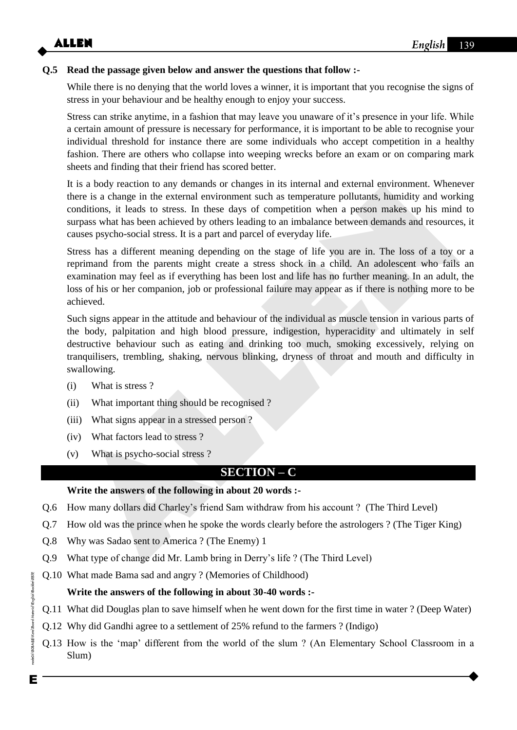## **Q.5 Read the passage given below and answer the questions that follow :-**

While there is no denying that the world loves a winner, it is important that you recognise the signs of stress in your behaviour and be healthy enough to enjoy your success.

 Stress can strike anytime, in a fashion that may leave you unaware of it's presence in your life. While a certain amount of pressure is necessary for performance, it is important to be able to recognise your individual threshold for instance there are some individuals who accept competition in a healthy fashion. There are others who collapse into weeping wrecks before an exam or on comparing mark sheets and finding that their friend has scored better.

 It is a body reaction to any demands or changes in its internal and external environment. Whenever there is a change in the external environment such as temperature pollutants, humidity and working conditions, it leads to stress. In these days of competition when a person makes up his mind to surpass what has been achieved by others leading to an imbalance between demands and resources, it causes psycho-social stress. It is a part and parcel of everyday life.

It is a body reaction to any dimenator or thanges in its internal and external environment. Whenever<br>there is a change in the external environment such as temperature pollutants, humidity and working<br>conditions, it leads Stress has a different meaning depending on the stage of life you are in. The loss of a toy or a reprimand from the parents might create a stress shock in a child. An adolescent who fails an examination may feel as if everything has been lost and life has no further meaning. In an adult, the loss of his or her companion, job or professional failure may appear as if there is nothing more to be achieved.

 Such signs appear in the attitude and behaviour of the individual as muscle tension in various parts of the body, palpitation and high blood pressure, indigestion, hyperacidity and ultimately in self destructive behaviour such as eating and drinking too much, smoking excessively, relying on tranquilisers, trembling, shaking, nervous blinking, dryness of throat and mouth and difficulty in swallowing.

- (i) What is stress ?
- (ii) What important thing should be recognised ?
- (iii) What signs appear in a stressed person ?
- (iv) What factors lead to stress ?
- (v) What is psycho-social stress ?

## **SECTION – C**

## **Write the answers of the following in about 20 words :-**

- Q.6 How many dollars did Charley's friend Sam withdraw from his account ? (The Third Level)
- Q.7 How old was the prince when he spoke the words clearly before the astrologers ? (The Tiger King)
- Q.8 Why was Sadao sent to America ? (The Enemy) 1
- Q.9 What type of change did Mr. Lamb bring in Derry's life ? (The Third Level)
- Q.10 What made Bama sad and angry ? (Memories of Childhood)

## **Write the answers of the following in about 30-40 words :-**

- Q.11 What did Douglas plan to save himself when he went down for the first time in water ? (Deep Water)
- Q.12 Why did Gandhi agree to a settlement of 25% refund to the farmers ? (Indigo)
- Q.13 How is the 'map' different from the world of the slum ? (An Elementary School Classroom in a Slum)